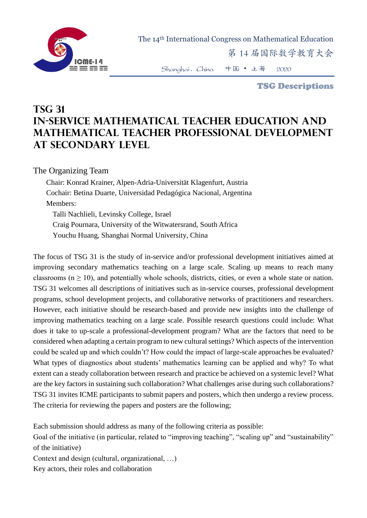

The 14th International Congress on Mathematical Education

第 14 届国际数学教育大会

Shanghai,China 中国 • 上海 2020

TSG Descriptions

## **TSG 31 In-Service Mathematical Teacher Education and Mathematical Teacher Professional Development at Secondary Level**

The Organizing Team

Chair: Konrad Krainer, Alpen-Adria-Universität Klagenfurt, Austria Cochair: Betina Duarte, Universidad Pedagógica Nacional, Argentina Members: Talli Nachlieli, Levinsky College, Israel Craig Pournara, University of the Witwatersrand, South Africa Youchu Huang, Shanghai Normal University, China

The focus of TSG 31 is the study of in-service and/or professional development initiatives aimed at improving secondary mathematics teaching on a large scale. Scaling up means to reach many classrooms ( $n \geq 10$ ), and potentially whole schools, districts, cities, or even a whole state or nation. TSG 31 welcomes all descriptions of initiatives such as in-service courses, professional development programs, school development projects, and collaborative networks of practitioners and researchers. However, each initiative should be research-based and provide new insights into the challenge of improving mathematics teaching on a large scale. Possible research questions could include: What does it take to up-scale a professional-development program? What are the factors that need to be considered when adapting a certain program to new cultural settings? Which aspects of the intervention could be scaled up and which couldn't? How could the impact of large-scale approaches be evaluated? What types of diagnostics about students' mathematics learning can be applied and why? To what extent can a steady collaboration between research and practice be achieved on a systemic level? What are the key factors in sustaining such collaboration? What challenges arise during such collaborations? TSG 31 invites ICME participants to submit papers and posters, which then undergo a review process. The criteria for reviewing the papers and posters are the following;

Each submission should address as many of the following criteria as possible:

Goal of the initiative (in particular, related to "improving teaching", "scaling up" and "sustainability" of the initiative)

Context and design (cultural, organizational, …)

Key actors, their roles and collaboration